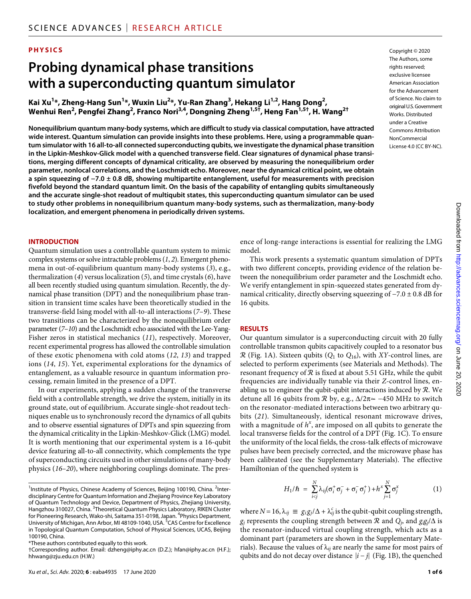## **PHYSICS**

# **Probing dynamical phase transitions with a superconducting quantum simulator**

**Kai Xu1 \*, Zheng-Hang Sun1 \*, Wuxin Liu2 \*, Yu-Ran Zhang3 , Hekang Li1,2, Hang Dong2 , Wenhui Ren2 , Pengfei Zhang2 , Franco Nori3,4, Dongning Zheng1,5†, Heng Fan1,5†, H. Wang2†**

**Nonequilibrium quantum many-body systems, which are difficult to study via classical computation, have attracted wide interest. Quantum simulation can provide insights into these problems. Here, using a programmable quantum simulator with 16 all-to-all connected superconducting qubits, we investigate the dynamical phase transition in the Lipkin-Meshkov-Glick model with a quenched transverse field. Clear signatures of dynamical phase transitions, merging different concepts of dynamical criticality, are observed by measuring the nonequilibrium order parameter, nonlocal correlations, and the Loschmidt echo. Moreover, near the dynamical critical point, we obtain a spin squeezing of −7.0 ± 0.8 dB, showing multipartite entanglement, useful for measurements with precision fivefold beyond the standard quantum limit. On the basis of the capability of entangling qubits simultaneously and the accurate single-shot readout of multiqubit states, this superconducting quantum simulator can be used to study other problems in nonequilibrium quantum many-body systems, such as thermalization, many-body localization, and emergent phenomena in periodically driven systems.**

### **INTRODUCTION**

Quantum simulation uses a controllable quantum system to mimic complex systems or solve intractable problems (*1*, *2*). Emergent phenomena in out-of-equilibrium quantum many-body systems (*3*), e.g., thermalization (*4*) versus localization (*5*), and time crystals (*6*), have all been recently studied using quantum simulation. Recently, the dynamical phase transition (DPT) and the nonequilibrium phase transition in transient time scales have been theoretically studied in the transverse-field Ising model with all-to-all interactions (*7*–*9*). These two transitions can be characterized by the nonequilibrium order parameter (*7*–*10*) and the Loschmidt echo associated with the Lee-Yang-Fisher zeros in statistical mechanics (*11*), respectively. Moreover, recent experimental progress has allowed the controllable simulation of these exotic phenomena with cold atoms (*12*, *13*) and trapped ions (*14*, *15*). Yet, experimental explorations for the dynamics of entanglement, as a valuable resource in quantum information processing, remain limited in the presence of a DPT.

In our experiments, applying a sudden change of the transverse field with a controllable strength, we drive the system, initially in its ground state, out of equilibrium. Accurate single-shot readout techniques enable us to synchronously record the dynamics of all qubits and to observe essential signatures of DPTs and spin squeezing from the dynamical criticality in the Lipkin-Meshkov-Glick (LMG) model. It is worth mentioning that our experimental system is a 16-qubit device featuring all-to-all connectivity, which complements the type of superconducting circuits used in other simulations of many-body physics (*16*–*20*), where neighboring couplings dominate. The presCopyright © 2020 The Authors, some rights reserved: exclusive licensee American Association for the Advancement of Science. No claim to original U.S.Government Works. Distributed under a Creative Commons Attribution NonCommercial License 4.0 (CC BY-NC).

ence of long-range interactions is essential for realizing the LMG model.

This work presents a systematic quantum simulation of DPTs with two different concepts, providing evidence of the relation between the nonequilibrium order parameter and the Loschmidt echo. We verify entanglement in spin-squeezed states generated from dynamical criticality, directly observing squeezing of −7.0 ± 0.8 dB for 16 qubits.

#### **RESULTS**

Our quantum simulator is a superconducting circuit with 20 fully controllable transmon qubits capacitively coupled to a resonator bus  $\mathcal{R}$  (Fig. 1A). Sixteen qubits ( $Q_1$  to  $Q_{16}$ ), with *XY*-control lines, are selected to perform experiments (see Materials and Methods). The resonant frequency of  $R$  is fixed at about 5.51 GHz, while the qubit frequencies are individually tunable via their *Z*-control lines, enabling us to engineer the qubit-qubit interactions induced by  $R$ . We detune all 16 qubits from  $\Re$  by, e.g.,  $\Delta/2\pi \approx -450$  MHz to switch on the resonator-mediated interactions between two arbitrary qubits (*21*). Simultaneously, identical resonant microwave drives, with a magnitude of  $h^x$ , are imposed on all qubits to generate the local transverse fields for the control of a DPT (Fig. 1C). To ensure the uniformity of the local fields, the cross-talk effects of microwave pulses have been precisely corrected, and the microwave phase has been calibrated (see the Supplementary Materials). The effective Hamiltonian of the quenched system is

$$
H_1/\hbar = \sum_{i
$$

where  $N = 16$ ,  $\lambda_{ij} \equiv g_i g_j / \Delta + \lambda_{ij}^c$  is the qubit-qubit coupling strength,  $g_j$  represents the coupling strength between  $\mathcal R$  and  $Q_j$ , and  $g_i g_j / \Delta$  is the resonator-induced virtual coupling strength, which acts as a dominant part (parameters are shown in the Supplementary Materials). Because the values of  $\lambda_{ij}$  are nearly the same for most pairs of qubits and do not decay over distance ∣*i* − *j*∣ (Fig. 1B), the quenched

<sup>&</sup>lt;sup>1</sup>Institute of Physics, Chinese Academy of Sciences, Beijing 100190, China. <sup>2</sup>Interdisciplinary Centre for Quantum Information and Zhejiang Province Key Laboratory of Quantum Technology and Device, Department of Physics, Zhejiang University, Hangzhou 310027, China. <sup>3</sup>Theoretical Quantum Physics Laboratory, RIKEN Cluster for Pioneering Research, Wako-shi, Saitama 351-0198, Japan. <sup>4</sup>Physics Department, University of Michigan, Ann Arbor, MI 48109-1040, USA. <sup>5</sup>CAS Centre for Excellence in Topological Quantum Computation, School of Physical Sciences, UCAS, Beijing 100190, China.

<sup>\*</sup>These authors contributed equally to this work.

<sup>†</sup>Corresponding author. Email: dzheng@iphy.ac.cn (D.Z.); hfan@iphy.ac.cn (H.F.); hhwang@zju.edu.cn (H.W.)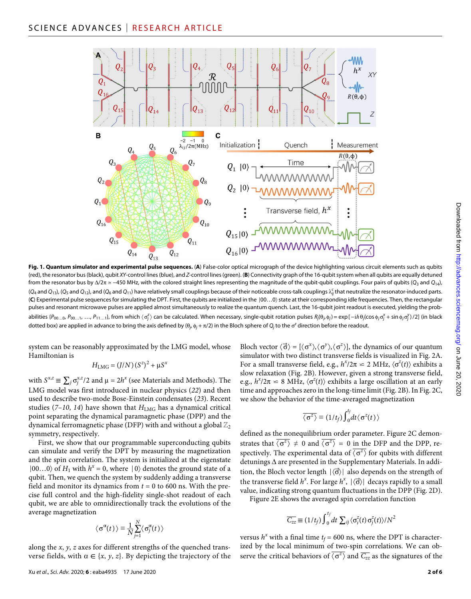

**Fig. 1. Quantum simulator and experimental pulse sequences.** (**A**) False-color optical micrograph of the device highlighting various circuit elements such as qubits (red), the resonator bus (black), qubit *XY*-control lines (blue), and *Z*-control lines (green). (**B**) Connectivity graph of the 16-qubit system when all qubits are equally detuned from the resonator bus by /2 ≃ −450 MHz, with the colored straight lines representing the magnitude of the qubit-qubit couplings. Four pairs of qubits (*Q*3 and *Q*14),  $(Q_4$  and  $Q_{13}$ ), (Q<sub>5</sub> and  $Q_{12}$ ), and (Q<sub>6</sub> and Q<sub>11</sub>) have relatively small couplings because of their noticeable cross-talk couplings  $\lambda_{ij}^c$  that neutralize the resonator-induced parts. (**C**) Experimental pulse sequences for simulating the DPT. First, the qubits are initialized in the ∣00…0〉 state at their corresponding idle frequencies. Then, the rectangular pulses and resonant microwave pulses are applied almost simultaneously to realize the quantum quench. Last, the 16-qubit joint readout is executed, yielding the probabilities {P<sub>00...0</sub>, P<sub>00...1</sub>, ..., P<sub>11...1</sub>}, from which  $\langle \sigma_i^2 \rangle$  can be calculated. When necessary, single-qubit rotation pulses  $R_j(\theta_j, \phi_j) = \exp[-i\hbar \theta_j(\cos \phi_j \sigma_j^x + \sin \phi_j \sigma_j^y)/2]$  (in black dotted box) are applied in advance to bring the axis defined by ( $\theta_j$ ,  $\phi_j + \pi/2$ ) in the Bloch sphere of  $Q_j$  to the  $\sigma^z$  direction before the readout.

system can be reasonably approximated by the LMG model, whose Hamiltonian is

$$
H_{\text{LMG}} = (J/N) (S^z)^2 + \mu S^x
$$

with  $S^{x,z} \equiv \sum_j \sigma_j^{x,z}/2$  and  $\mu = 2h^x$  (see Materials and Methods). The LMG model was first introduced in nuclear physics (*22*) and then used to describe two-mode Bose-Einstein condensates (*23*). Recent studies ( $7-10$ ,  $14$ ) have shown that  $H_{LMG}$  has a dynamical critical point separating the dynamical paramagnetic phase (DPP) and the dynamical ferromagnetic phase (DFP) with and without a global  $\mathbb{Z}_2$ symmetry, respectively.

First, we show that our programmable superconducting qubits can simulate and verify the DPT by measuring the magnetization and the spin correlation. The system is initialized at the eigenstate |00…0〉 of *H*<sub>1</sub> with *h<sup>x</sup>* = 0, where | 0〉 denotes the ground state of a qubit. Then, we quench the system by suddenly adding a transverse field and monitor its dynamics from  $t = 0$  to 600 ns. With the precise full control and the high-fidelity single-shot readout of each qubit, we are able to omnidirectionally track the evolutions of the average magnetization

$$
\langle \sigma^{\alpha}(t) \rangle \equiv \frac{1}{N} \sum_{j=1}^{N} \langle \sigma_j^{\alpha}(t) \rangle
$$

along the *x*, *y*, *z* axes for different strengths of the quenched transverse fields, with  $\alpha \in \{x, y, z\}$ . By depicting the trajectory of the

Bloch vector  $\langle \vec{\sigma} \rangle = [\langle \sigma^x \rangle, \langle \sigma^y \rangle, \langle \sigma^z \rangle]$ , the dynamics of our quantum simulator with two distinct transverse fields is visualized in Fig. 2A. For a small transverse field, e.g.,  $h^x/2\pi \simeq 2 \text{ MHz}, \langle \sigma^z(t) \rangle$  exhibits a slow relaxation (Fig. 2B). However, given a strong transverse field, e.g.,  $h^x/2\pi \simeq 8$  MHz,  $\langle \sigma^z(t) \rangle$  exhibits a large oscillation at an early time and approaches zero in the long-time limit (Fig. 2B). In Fig. 2C, we show the behavior of the time-averaged magnetization zero<br>r of t<br> $\frac{}{\langle \sigma^z \rangle}$ 

$$
\overline{\langle \sigma^z \rangle} \equiv (1/t_f) \int_0^{t_f} dt \langle \sigma^z(t) \rangle
$$

defined as the nonequilibrium order parameter. Figure 2C demon- $\langle \overline{\sigma^z} \rangle \equiv (1/2)$ <br>defined as the nonequilibrium of strates that  $\langle \overline{\sigma^z} \rangle \neq 0$  and  $\langle \overline{\sigma^z} \rangle$  spectively. The experimental da  $\langle \overline{\sigma^z} \rangle$   $\neq$  0 and  $\langle \overline{\sigma^z} \rangle$  = 0 in the DFP and the DPP, redefined as the nonequilibrium order parameter. Figure 2C demonstrates that  $\langle \sigma^2 \rangle \neq 0$  and  $\langle \sigma^2 \rangle = 0$  in the DFP and the DPP, respectively. The experimental data of  $\langle \sigma^2 \rangle$  for qubits with different detunings  $\$  $\langle \sigma^z \rangle$  for qubits with different tion, the Bloch vector length  $|\langle \vec{\sigma} \rangle|$  also depends on the strength of the transverse field  $h^x$ . For large  $h^x$ ,  $|\langle \vec{\sigma} \rangle|$  decays rapidly to a small value, indicating strong quantum fluctuations in the DPP (Fig. 2D).

Figure 2E shows the averaged spin correlation function

$$
\overline{C_{zz}} \equiv (1/t_f) \int_0^{t_f} dt \sum_{ij} \langle \sigma_i^z(t) \sigma_j^z(t) \rangle / N^2
$$

versus  $h^x$  with a final time  $t_f$  = 600 ns, where the DPT is characterized by the local minimum of two-spin correlations. We can obversus  $h^x$  with a final time  $t_f = 600$ <br>ized by the local minimum of two<br>serve the critical behaviors of  $\langle \overline{\sigma^z} \rangle$ bou ns, where the DP1 is character-<br>
<u>f</u> two-spin correlations. We can ob-<br>  $\langle \sigma^z \rangle$  and  $\overline{C_{zz}}$  as the signatures of the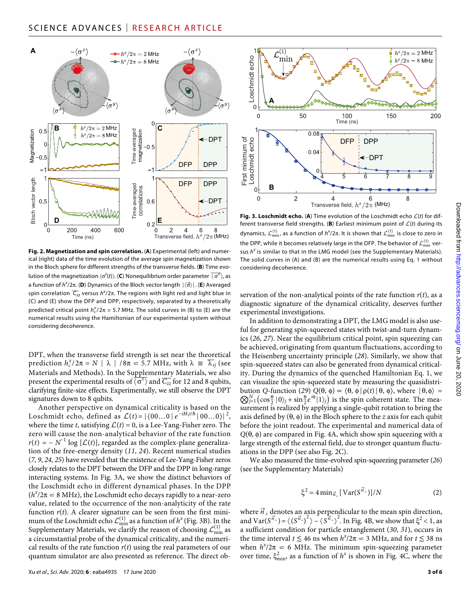

**Fig. 2. Magnetization and spin correlation.** (**A**) Experimental (left) and numerical (right) data of the time evolution of the average spin magnetization shown in the Bloch sphere for different strengths of the transverse fields. (**B**) Time evolution of the magnetization  $\langle \sigma^2(t) \rangle$ . (**C**) Nonequilibrium order parameter  $\overline{\langle \sigma^2 \rangle}$ , as (*t*) is the average spin magnetization shot strengths of the transverse fields. (**B**) Time e<br>
(*t*)). (**C**) Nonequilibrium order parameter  $\overline{\langle \sigma^2 \rangle}$ <br>
(*c*s of the Bloch vector length  $|\langle \vec{\sigma} \rangle|$ . (**E**) Averal a function of *h<sup>x</sup>*/2 $\pi$ . (**D**) Dynamics of the Bloch vector length  $|\langle \vec{\sigma} \rangle|$ . (**E**) Averaged<br>spin correlation  $\overline{C_{zz}}$  versus  $h^{x}/2\pi$ . The regions with light red and light blue in  $\overline{C_{zz}}$  versus  $h^\chi/2\pi$ . The regions with light red and light blue in (C) and (E) show the DFP and DPP, respectively, separated by a theoretically predicted critical point  $h_c^{\chi}/2\pi \simeq 5.7$  MHz. The solid curves in (B) to (E) are the numerical results using the Hamiltonian of our experimental system without considering decoherence.

DPT, when the transverse field strength is set near the theoretical prediction  $h_c^x$ e transverse field strength is set near the theoretical  $/2\pi = N \mid \lambda \mid /8\pi \approx 5.7$  MHz, with  $\lambda \equiv \overline{\lambda_{ij}}$  (see Materials and Methods). In the Su<u>pple</u>mentary Materials, we also DPT, when the transverse field strengt<br>prediction  $h_c^x/2\pi = N \mid \lambda \mid /8\pi \approx 5$ .<br>Materials and Methods). In the Supple<br>present the experimental results of  $\langle \sigma^z \rangle$ <br>clarifying finite-size effects. Experimenta  $\langle \sigma^z \rangle$  and  $\overline{C_{zz}}$  for 12 and 8 qubits, ./ MHz,<br>ementary<br>and  $\overline{C_{zz}}$ <br>ally we s clarifying finite-size effects. Experimentally, we still observe the DPT signatures down to 8 qubits.

Another perspective on dynamical criticality is based on the Loschmidt echo, defined as  $\mathcal{L}(t) = |\langle 00...0 | e^{-iH_1 t/\hbar} | 00...0 \rangle|^2$ , where the time *t*, satisfying  $\mathcal{L}(t) = 0$ , is a Lee-Yang-Fisher zero. The zero will cause the non-analytical behavior of the rate function  $r(t) = -N^{-1} \log [L(t)]$ , regarded as the complex-plane generalization of the free-energy density (*11*, *24*). Recent numerical studies (*7*, *9*, *24*, *25*) have revealed that the existence of Lee-Yang-Fisher zeros closely relates to the DPT between the DFP and the DPP in long-range interacting systems. In Fig. 3A, we show the distinct behaviors of the Loschmidt echo in different dynamical phases. In the DPP  $(h^x/2\pi \approx 8$  MHz), the Loschmidt echo decays rapidly to a near-zero value, related to the occurrence of the non-analyticity of the rate function  $r(t)$ . A clearer signature can be seen from the first minimum of the Loschmidt echo  $\mathcal{L}_{\min}^{(1)}$  as a function of  $h^x$  (Fig. 3B). In the Supplementary Materials, we clarify the reason of choosing  $\mathcal{L}_{\text{min}}^{(1)}$  as a circumstantial probe of the dynamical criticality, and the numerical results of the rate function  $r(t)$  using the real parameters of our quantum simulator are also presented as reference. The direct ob-



**Fig. 3. Loschmidt echo.** (A) Time evolution of the Loschmidt echo  $\mathcal{L}(t)$  for different transverse field strengths. (B) Earliest minimum point of  $\mathcal{L}(t)$  during its dynamics,  $\mathcal{L}_\mathsf{min}^{(1)}$ , as a function of  $h^\mathsf{x}/2\pi$ . It is shown that  $\mathcal{L}_\mathsf{min}^{(1)}$  is close to zero in the DPP, while it becomes relatively large in the DFP. The behavior of  $\mathcal{L}_\mathsf{min}^{(1)}$  versus *h<sup>x</sup>* is similar to that in the LMG model (see the Supplementary Materials). The solid curves in (A) and (B) are the numerical results using Eq. 1 without considering decoherence.

servation of the non-analytical points of the rate function  $r(t)$ , as a diagnostic signature of the dynamical criticality, deserves further experimental investigations.

In addition to demonstrating a DPT, the LMG model is also useful for generating spin-squeezed states with twist-and-turn dynamics (*26*, *27*). Near the equilibrium critical point, spin squeezing can be achieved, originating from quantum fluctuations, according to the Heisenberg uncertainty principle (*28*). Similarly, we show that spin-squeezed states can also be generated from dynamical criticality. During the dynamics of the quenched Hamiltonian Eq. 1, we can visualize the spin-squeezed state by measuring the quasidistribution *Q*-function (29)  $Q(\theta, \phi) \propto \langle \theta, \phi | \rho(t) | \theta, \phi \rangle$ , where  $| \theta, \phi \rangle$  =  $\bigotimes_{j=1}^{N} \left(\cos \frac{\theta}{2} |0\rangle_j + \sin \frac{\theta}{2} e^{i\phi} |1\rangle_j\right)$  is the spin coherent state. The mea- $\sum_{j=1}^{\infty}$  (e.g.,  $\sum_{j=1}^{\infty}$ )  $\sum_{j=1}^{\infty}$  and  $\sum_{j=1}^{\infty}$  and  $\sum_{j=1}^{\infty}$  concrement is realized by applying a single-qubit rotation to bring the axis defined by  $(\theta, \phi)$  in the Bloch sphere to the *z* axis for each qubit before the joint readout. The experimental and numerical data of  $Q(\theta, \phi)$  are compared in Fig. 4A, which show spin squeezing with a large strength of the external field, due to stronger quantum fluctuations in the DPP (see also Fig. 2C).

We also measured the time-evolved spin-squeezing parameter (*26*) (see the Supplementary Materials)

$$
\xi^2 = 4 \min_{\vec{n}_\perp} \left[ \operatorname{Var}(S^{\vec{n}_\perp}) \right] / N \tag{2}
$$

where  $\vec{n}_{\perp}$  denotes an axis perpendicular to the mean spin direction, and  $\text{Var}(S^{\vec{n}_\perp}) = \langle (S^{\vec{n}_\perp})^2 \rangle - \langle S^{\vec{n}_\perp} \rangle^2$ . In Fig. 4B, we show that  $\xi^2 < 1$ , as a sufficient condition for particle entanglement (*30*, *31*), occurs in the time interval  $t \lesssim 46$  ns when  $h^{x}/2\pi \simeq 3$  MHz, and for  $t \lesssim 38$  ns when  $h^x/2\pi \simeq 6$  MHz. The minimum spin-squeezing parameter over time,  $\xi_{\min}^2$ , as a function of  $h^x$  is shown in Fig. 4C, where the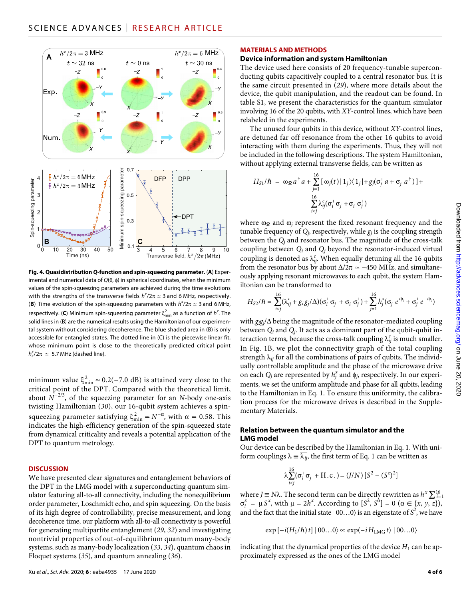

**Fig. 4. Quasidistribution** *Q***-function and spin-squeezing parameter.** (**A**) Experimental and numerical data of  $Q(\theta, \phi)$  in spherical coordinates, when the minimum values of the spin-squeezing parameters are achieved during the time evolutions with the strengths of the transverse fields  $h^{\chi}/2\pi \simeq 3$  and 6 MHz, respectively. **(B)** Time evolution of the spin-squeezing parameters with  $h^{\chi}/2\pi \approx 3$  and 6 MHz, respectively. (**C**) Minimum spin-squeezing parameter  $\xi_{\text{min}}^2$  as a function of  $h^\chi$ . The solid lines in (B) are the numerical results using the Hamiltonian of our experimental system without considering decoherence. The blue shaded area in (B) is only accessible for entangled states. The dotted line in (C) is the piecewise linear fit, whose minimum point is close to the theoretically predicted critical point  $h_c^{\text{x}}/2\pi \simeq 5.7$  MHz (dashed line).

minimum value  $\xi_{\min}^2 \simeq 0.2(-7.0 \text{ dB})$  is attained very close to the critical point of the DPT. Compared with the theoretical limit, about *N*−2/3, of the squeezing parameter for an *N*-body one-axis twisting Hamiltonian (*30*), our 16-qubit system achieves a spinsqueezing parameter satisfying  $\xi_{\min}^2 \simeq N^{-\alpha}$ , with  $\alpha \simeq 0.58$ . This indicates the high-efficiency generation of the spin-squeezed state from dynamical criticality and reveals a potential application of the DPT to quantum metrology.

#### **DISCUSSION**

We have presented clear signatures and entanglement behaviors of the DPT in the LMG model with a superconducting quantum simulator featuring all-to-all connectivity, including the nonequilibrium order parameter, Loschmidt echo, and spin squeezing. On the basis of its high degree of controllability, precise measurement, and long decoherence time, our platform with all-to-all connectivity is powerful for generating multipartite entanglement (*29*, *32*) and investigating nontrivial properties of out-of-equilibrium quantum many-body systems, such as many-body localization (*33*, *34*), quantum chaos in Floquet systems (*35*), and quantum annealing (*36*).

# **MATERIALS AND METHODS**

# **Device information and system Hamiltonian**

The device used here consists of 20 frequency-tunable superconducting qubits capacitively coupled to a central resonator bus. It is the same circuit presented in (*29*), where more details about the device, the qubit manipulation, and the readout can be found. In table S1, we present the characteristics for the quantum simulator involving 16 of the 20 qubits, with *XY*-control lines, which have been relabeled in the experiments.

The unused four qubits in this device, without *XY*-control lines, are detuned far off resonance from the other 16 qubits to avoid interacting with them during the experiments. Thus, they will not be included in the following descriptions. The system Hamiltonian, without applying external transverse fields, can be written as

$$
H_{S1}/\hbar = \omega_{\mathcal{R}} a^{\dagger} a + \sum_{j=1}^{16} [\omega_j(t) | 1_j \rangle \langle 1_j | + g_j(\sigma_j^{\dagger} a + \sigma_j^{-} a^{\dagger})] +
$$

$$
\sum_{i < j}^{16} \lambda_{ij}^c(\sigma_i^{\dagger} \sigma_j^{-} + \sigma_i^{-} \sigma_j^{+})
$$

where  $\omega_{\mathcal{R}}$  and  $\omega_i$  represent the fixed resonant frequency and the tunable frequency of  $Q_i$ , respectively, while  $g_i$  is the coupling strength between the *Qj* and resonator bus. The magnitude of the cross-talk coupling between *Qi* and *Qj* beyond the resonator-induced virtual coupling is denoted as  $\lambda_{ij}^c$ . When equally detuning all the 16 qubits from the resonator bus by about  $\Delta/2\pi \simeq -450$  MHz, and simultaneously applying resonant microwaves to each qubit, the system Hamiltonian can be transformed to

$$
H_{S2}/\hbar = \sum_{i
$$

with  $g_i g_j/\Delta$  being the magnitude of the resonator-mediated coupling between *Qi* and *Qj*. It acts as a dominant part of the qubit-qubit interaction terms, because the cross-talk coupling  $\lambda_{ij}^c$  is much smaller. In Fig. 1B, we plot the connectivity graph of the total coupling strength  $\lambda_{ij}$  for all the combinations of pairs of qubits. The individually controllable amplitude and the phase of the microwave drive on each  $Q_j$  are represented by  $h_j^x$  and  $\phi_j$ , respectively. In our experiments, we set the uniform amplitude and phase for all qubits, leading to the Hamiltonian in Eq. 1. To ensure this uniformity, the calibration process for the microwave drives is described in the Supplementary Materials.

## **Relation between the quantum simulator and the LMG model**

Our device can be described by the Hamiltonian in Eq. 1. With uni-Our device can be described by the Hamiltonian in Eq. 1. With form couplings  $\lambda \equiv \overline{\lambda_{ij}}$ , the first term of Eq. 1 can be written as

$$
\lambda \sum_{i
$$

where *J*  $\equiv$  *N* $\lambda$ . The second term can be directly rewritten as  $h^x \sum_{i=1}^{16}$  $\sigma_i^x = \mu S^x$ , with  $\mu = 2h^x$ . According to  $[S^2, S^{\alpha}] = 0 \ (\alpha \in \{x, y, z\}),$ and the fact that the initial state  $|00...0\rangle$  is an eigenstate of  $\mathcal{S}^2$ , we have

$$
\exp[-i(H_1/\hbar)\,t]\,|\,00...0\rangle \approx \exp(-iH_{\rm LMG}\,t)\,|\,00...0\rangle
$$

indicating that the dynamical properties of the device  $H_1$  can be approximately expressed as the ones of the LMG model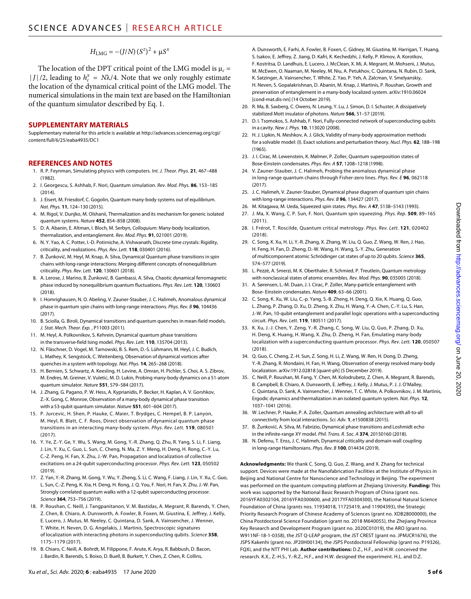$$
H_{\rm LMG} = -(J/N)\left(S^z\right)^2 + \mu S^x
$$

The location of the DPT critical point of the LMG model is  $\mu_c$  =  $|J|/2$ , leading to  $h_c^x = N\lambda/4$ . Note that we only roughly estimate the location of the dynamical critical point of the LMG model. The numerical simulations in the main text are based on the Hamiltonian of the quantum simulator described by Eq. 1.

## **SUPPLEMENTARY MATERIALS**

Supplementary material for this article is available at [http://advances.sciencemag.org/cgi/](http://advances.sciencemag.org/cgi/content/full/6/25/eaba4935/DC1) [content/full/6/25/eaba4935/DC1](http://advances.sciencemag.org/cgi/content/full/6/25/eaba4935/DC1)

#### **REFERENCES AND NOTES**

- 1. R. P. Feynman, Simulating physics with computers. *Int. J. Theor. Phys.* **21**, 467–488 (1982).
- 2. I. Georgescu, S. Ashhab, F. Nori, Quantum simulation. *Rev. Mod. Phys.* **86**, 153–185  $(2014)$
- 3. J. Eisert, M. Friesdorf, C. Gogolin, Quantum many-body systems out of equilibrium. *Nat. Phys.* **11**, 124–130 (2015).
- 4. M. Rigol, V. Dunjko, M. Olshanii, Thermalization and its mechanism for generic isolated quantum systems. *Nature* **452**, 854–858 (2008).
- 5. D. A. Abanin, E. Altman, I. Bloch, M. Serbyn, *Colloquium:* Many-body localization, thermalization, and entanglement. *Rev. Mod. Phys.* **91**, 021001 (2019).
- 6. N. Y. Yao, A. C. Potter, I.-D. Potirniche, A. Vishwanath, Discrete time crystals: Rigidity, criticality, and realizations. *Phys. Rev. Lett.* **118**, 030401 (2016).
- 7. B. Žunkovič, M. Heyl, M. Knap, A. Silva, Dynamical Quantum phase transitions in spin chains with long-range interactions: Merging different concepts of nonequilibrium criticality. *Phys. Rev. Lett.* **120**, 130601 (2018).
- 8. A. Lerose, J. Marino, B. Žunkovič, B. Gambassi, A. Silva, Chaotic dynamical ferromagnetic phase induced by nonequilibrium quantum fluctuations. *Phys. Rev. Lett.* **120**, 130603 (2018).
- 9. I. Homrighausen, N. O. Abeling, V. Zauner-Stauber, J. C. Halimeh, Anomalous dynamical phase in quantum spin chains with long-range interactions. *Phys. Rev. B* **96**, 104436 (2017).
- 10. B. Sciolla, G. Biroli, Dynamical transitions and quantum quenches in mean-field models. *J. Stat. Mech. Theor. Exp.* , P11003 (2011).
- 11. M. Heyl, A. Polkovnikov, S. Kehrein, Dynamical quantum phase transitions in the transverse-field Ising model. *Phys. Rev. Lett.* **110**, 135704 (2013).
- 12. N. Fläschner, D. Vogel, M. Tarnowski, B. S. Rem, D.-S. Lühmann, M. Heyl, J. C. Budich, L. Mathey, K. Sengstock, C. Weitenberg, Observation of dynamical vortices after quenches in a system with topology. *Nat. Phys.* **14**, 265–268 (2018).
- 13. H. Bernien, S. Schwartz, A. Keesling, H. Levine, A. Omran, H. Pichler, S. Choi, A. S. Zibrov, M. Endres, M. Greiner, V. Vuletić, M. D. Lukin, Probing many-body dynamics on a 51-atom quantum simulator. *Nature* **551**, 579–584 (2017).
- 14. J. Zhang, G. Pagano, P. W. Hess, A. Kyprianidis, P. Becker, H. Kaplan, A. V. Gorshkov, Z.-X. Gong, C. Monroe, Observation of a many-body dynamical phase transition with a 53-qubit quantum simulator. *Nature* **551**, 601–604 (2017).
- 15. P. Jurcevic, H. Shen, P. Hauke, C. Maier, T. Brydges, C. Hempel, B. P. Lanyon, M. Heyl, R. Blatt, C. F. Roos, Direct observation of dynamical quantum phase transitions in an interacting many-body system. *Phys. Rev. Lett.* **119**, 080501 (2017).
- 16. Y. Ye, Z.-Y. Ge, Y. Wu, S. Wang, M. Gong, Y.-R. Zhang, Q. Zhu, R. Yang, S. Li, F. Liang, J. Lin, Y. Xu, C. Guo, L. Sun, C. Cheng, N. Ma, Z. Y. Meng, H. Deng, H. Rong, C.-Y. Lu, C.-Z. Peng, H. Fan, X. Zhu, J.-W. Pan, Propagation and localization of collective excitations on a 24-qubit superconducting processor. *Phys. Rev. Lett.* **123**, 050502 (2019).
- 17. Z. Yan, Y.-R. Zhang, M. Gong, Y. Wu, Y. Zheng, S. Li, C. Wang, F. Liang, J. Lin, Y. Xu, C. Guo, L. Sun, C.-Z. Peng, K. Xia, H. Deng, H. Rong, J. Q. You, F. Nori, H. Fan, X. Zhu, J.-W. Pan, Strongly correlated quantum walks with a 12-qubit superconducting processor. *Science* **364**, 753–756 (2019).
- 18. P. Roushan, C. Neill, J. Tangpanitanon, V. M. Bastidas, A. Megrant, R. Barends, Y. Chen, Z. Chen, B. Chiaro, A. Dunsworth, A. Fowler, B. Foxen, M. Giustina, E. Jeffrey, J. Kelly, E. Lucero, J. Mutus, M. Neeley, C. Quintana, D. Sank, A. Vainsencher, J. Wenner, T. White, H. Neven, D. G. Angelakis, J. Martinis, Spectroscopic signatures of localization with interacting photons in superconducting qubits. *Science* **358**, 1175–1179 (2017).
- 19. B. Chiaro, C. Neill, A. Bohrdt, M. Filippone, F. Arute, K. Arya, R. Babbush, D. Bacon, J. Bardin, R. Barends, S. Boixo, D. Buell, B. Burkett, Y. Chen, Z. Chen, R. Collins,

A. Dunsworth, E. Farhi, A. Fowler, B. Foxen, C. Gidney, M. Giustina, M. Harrigan, T. Huang, S. Isakov, E. Jeffrey, Z. Jiang, D. Kafri, K. Kechedzhi, J. Kelly, P. Klimov, A. Korotkov, F. Kostritsa, D. Landhuis, E. Lucero, J. McClean, X. Mi, A. Megrant, M. Mohseni, J. Mutus, M. McEwen, O. Naaman, M. Neeley, M. Niu, A. Petukhov, C. Quintana, N. Rubin, D. Sank, K. Satzinger, A. Vainsencher, T. White, Z. Yao, P. Yeh, A. Zalcman, V. Smelyanskiy, H. Neven, S. Gopalakrishnan, D. Abanin, M. Knap, J. Martinis, P. Roushan, Growth and preservation of entanglement in a many-body localized system. arXiv[:1910.06024](https://arxiv.org/abs/1910.06024) [cond-mat.dis-nn] (14 October 2019).

- 20. R. Ma, B. Saxberg, C. Owens, N. Leung, Y. Lu, J. Simon, D. I. Schuster, A dissipatively stabilized Mott insulator of photons. *Nature* **566**, 51–57 (2019).
- 21. D. I. Tsomokos, S. Ashhab, F. Nori, Fully-connected network of superconducting qubits in a cavity. *New J. Phys.* **10**, 113020 (2008).
- 22. H. J. Lipkin, N. Meshkov, A. J. Glick, Validity of many-body approximation methods for a solvable model: (I). Exact solutions and perturbation theory. *Nucl. Phys.* **62**, 188–198 (1965).
- 23. J. I. Cirac, M. Lewenstein, K. Mølmer, P. Zoller, Quantum superposition states of Bose-Einstein condensates. *Phys. Rev. A* **57**, 1208–1218 (1998).
- 24. V. Zauner-Stauber, J. C. Halimeh, Probing the anomalous dynamical phase in long-range quantum chains through Fisher-zero lines. *Phys. Rev. E* **96**, 062118 (2017).
- 25. J. C. Halimeh, V. Zauner-Stauber, Dynamical phase diagram of quantum spin chains with long-range interactions. *Phys. Rev. B* **96**, 134427 (2017).
- 26. M. Kitagawa, M. Ueda, Squeezed spin states. *Phys. Rev. A* **47**, 5138–5143 (1993).
- 27. J. Ma, X. Wang, C. P. Sun, F. Nori, Quantum spin squeezing. *Phys. Rep.* **509**, 89–165 (2011).
- 28. I. Frérot, T. Roscilde, Quantum critical metrology. *Phys. Rev. Lett.* **121**, 020402 (2018).
- 29. C. Song, K. Xu, H. Li, Y.-R. Zhang, X. Zhang, W. Liu, Q. Guo, Z. Wang, W. Ren, J. Hao, H. Feng, H. Fan, D. Zheng, D.-W. Wang, H. Wang, S.-Y. Zhu, Generation of multicomponent atomic Schrödinger cat states of up to 20 qubits. *Science* **365**, 574–577 (2019).
- 30. L. Pezzè, A. Smerzi, M. K. Oberthaler, R. Schmied, P. Treutlein, Quantum metrology with nonclassical states of atomic ensembles. *Rev. Mod. Phys.* **90**, 035005 (2018).
- 31. A. Sørensen, L.-M. Duan, J. I. Cirac, P. Zoller, Many-particle entanglement with Bose- Einstein condensates. *Nature* **409**, 63–66 (2001).
- 32. C. Song, K. Xu, W. Liu, C.-p. Yang, S.-B. Zheng, H. Deng, Q. Xie, K. Huang, Q. Guo, L. Zhang, P. Zhang, D. Xu, D. Zheng, X. Zhu, H. Wang, Y.-A. Chen, C.-Y. Lu, S. Han, J.-W. Pan, 10-qubit entanglement and parallel logic operations with a superconducting circuit. *Phys. Rev. Lett.* **119**, 180511 (2017).
- 33. K. Xu, J.-J. Chen, Y. Zeng, Y.-R. Zhang, C. Song, W. Liu, Q. Guo, P. Zhang, D. Xu, H. Deng, K. Huang, H. Wang, X. Zhu, D. Zheng, H. Fan, Emulating many-body localization with a superconducting quantum processor. *Phys. Rev. Lett.* **120**, 050507 (2018).
- 34. Q. Guo, C. Cheng, Z.-H. Sun, Z. Song, H. Li, Z. Wang, W. Ren, H. Dong, D. Zheng, Y.-R. Zhang, R. Mondaini, H. Fan, H. Wang, Observation of energy resolved many-body localization. arXiv:[1912.02818](https://arxiv.org/abs/1912.02818) [quant-ph] (5 December 2019).
- 35. C. Neill, P. Roushan, M. Fang, Y. Chen, M. Kolodrubetz, Z. Chen, A. Megrant, R. Barends, B. Campbell, B. Chiaro, A. Dunsworth, E. Jeffrey, J. Kelly, J. Mutus, P. J. J. O'Malley, C. Quintana, D. Sank, A. Vainsencher, J. Wenner, T. C. White, A. Polkovnikov, J. M. Martinis, Ergodic dynamics and thermalization in an isolated quantum system. *Nat. Phys.* **12**, 1037–1041 (2016).
- 36. W. Lechner, P. Hauke, P. A. Zoller, Quantum annealing architecture with all-to-all connectivity from local interactions. *Sci. Adv.* **1**, e1500838 (2015).
- 37. B. Žunkovič, A. Silva, M. Fabrizio, Dynamical phase transitions and Loshmidt echo in the infinite-range XY model. *Phil. Trans. R. Soc. A* **374**, 20150160 (2018).
- 38. N. Defenu, T. Enss, J. C. Halimeh, Dynamical criticality and domain-wall coupling in long-range Hamiltonians. *Phys. Rev. B* **100**, 014434 (2019).

**Acknowledgments:** We thank C. Song, Q. Guo, Z. Wang, and X. Zhang for technical support. Devices were made at the Nanofabrication Facilities at the Institute of Physics in Beijing and National Centre for Nanoscience and Technology in Beijing. The experiment was performed on the quantum computing platform at Zhejiang University. **Funding:** This work was supported by the National Basic Research Program of China (grant nos. 2016YFA0302104, 2016YFA0300600, and 2017YFA0304300), the National Natural Science Foundation of China (grants nos. 11934018, 11725419, and 11904393), the Strategic Priority Research Program of Chinese Academy of Sciences (grant no. XDB28000000), the China Postdoctoral Science Foundation (grant no. 2018 M640055), the Zhejiang Province Key Research and Development Program (grant no. 2020C01019), the ARO (grant no. W911NF-18-1-0358), the JST Q-LEAP program, the JST CREST (grant no. JPMJCR1676), the JSPS Kakenhi (grant no. JP20H00134), the JSPS Postdoctoral Fellowship (grant no. P19326), FQXi, and the NTT PHI Lab. **Author contributions:** D.Z., H.F., and H.W. conceived the research. K.X., Z.-H.S., Y.-R.Z., H.F., and H.W. designed the experiment. H.L. and D.Z.